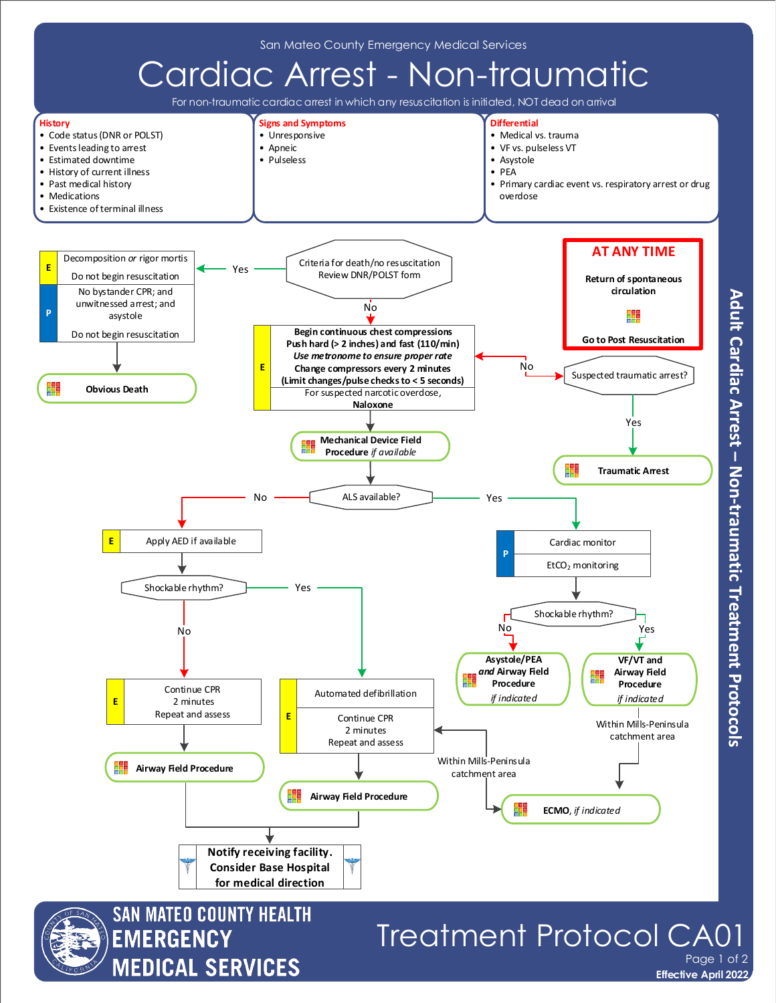

Adult Cardiac Arrest - Non-traumatic Treatment Protocols

**Effective April 2022**